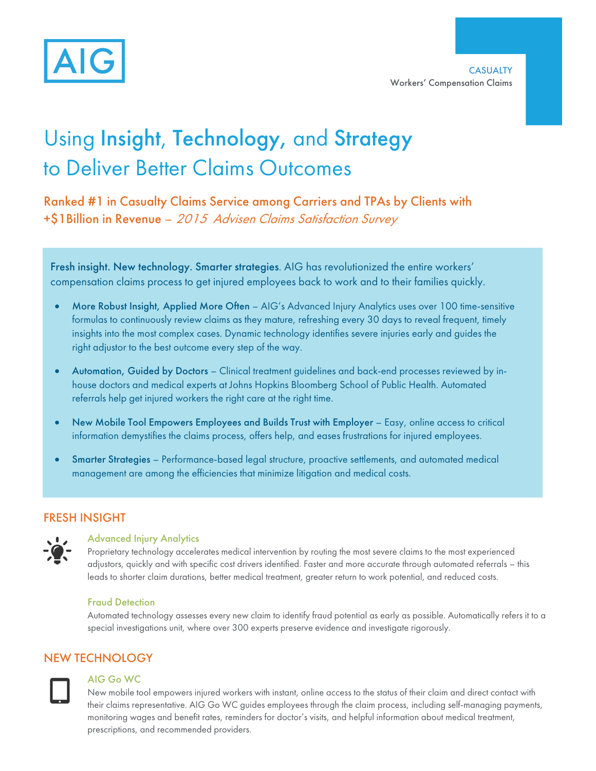

# Using Insight, Technology, and Strategy to Deliver Better Claims Outcomes

Ranked #1 in Casualty Claims Service among Carriers and TPAs by Clients with +\$1Billion in Revenue – 2015 Advisen Claims Satisfaction Survey

Fresh insight. New technology. Smarter strategies. AIG has revolutionized the entire workers' compensation claims process to get injured employees back to work and to their families quickly.

- right adjustor to the best outcome every step of the way. More Robust Insight, Applied More Often - AIG's Advanced Injury Analytics uses over 100 time-sensitive formulas to continuously review claims as they mature, refreshing every 30 days to reveal frequent, timely insights into the most complex cases. Dynamic technology identifies severe injuries early and guides the
- Automation, Guided by Doctors Clinical treatment guidelines and back-end processes reviewed by inhouse doctors and medical experts at Johns Hopkins Bloomberg School of Public Health. Automated referrals help get injured workers the right care at the right time.
- New Mobile Tool Empowers Employees and Builds Trust with Employer Easy, online access to critical information demystifies the claims process, offers help, and eases frustrations for injured employees.
- x Smarter Strategies Performance-based legal structure, proactive settlements, and automated medical management are among the efficiencies that minimize litigation and medical costs.

## FRESH INSIGHT



## Advanced Injury Analytics

Proprietary technology accelerates medical intervention by routing the most severe claims to the most experienced adjustors, quickly and with specific cost drivers identified. Faster and more accurate through automated referrals – this leads to shorter claim durations, better medical treatment, greater return to work potential, and reduced costs.

#### Fraud Detection

Automated technology assesses every new claim to identify fraud potential as early as possible. Automatically refers it to a special investigations unit, where over 300 experts preserve evidence and investigate rigorously.

## NEW TECHNOLOGY



#### AIG Go WC

New mobile tool empowers injured workers with instant, online access to the status of their claim and direct contact with their claims representative. AIG Go WC guides employees through the claim process, including self-managing payments, monitoring wages and benefit rates, reminders for doctor's visits, and helpful information about medical treatment, prescriptions, and recommended providers.